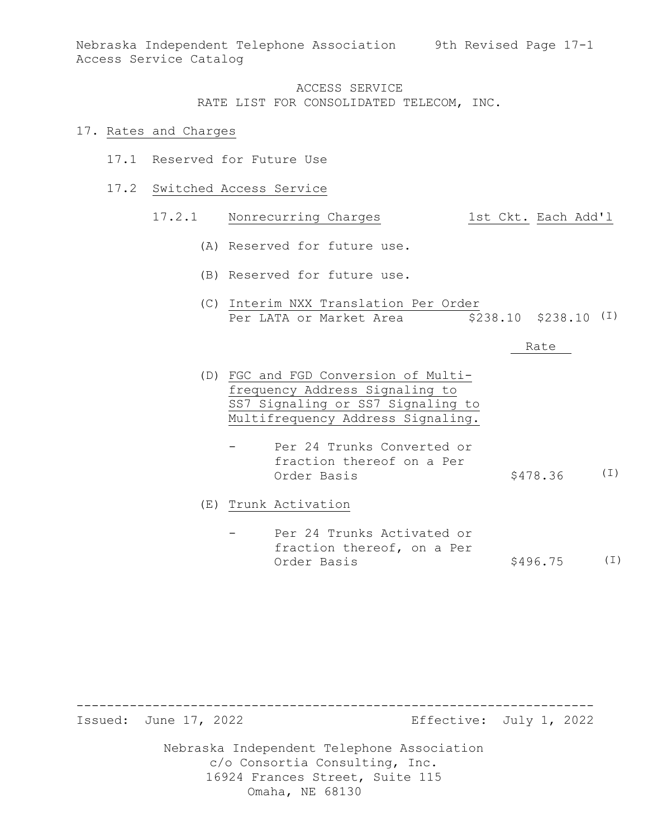Nebraska Independent Telephone Association 9th Revised Page 17-1 Access Service Catalog

> ACCESS SERVICE RATE LIST FOR CONSOLIDATED TELECOM, INC.

#### 17. Rates and Charges

- 17.1 Reserved for Future Use
- 17.2 Switched Access Service

#### 17.2.1 Nonrecurring Charges 1st Ckt. Each Add'l

- (A) Reserved for future use.
- (B) Reserved for future use.
- (C) Interim NXX Translation Per Order Per LATA or Market Area  $$238.10$   $$238.10$   $(I)$

#### Rate

- (D) FGC and FGD Conversion of Multifrequency Address Signaling to SS7 Signaling or SS7 Signaling to Multifrequency Address Signaling.
	- Per 24 Trunks Converted or fraction thereof on a Per Order Basis  $$478.36$  (I)

(E) Trunk Activation

Per 24 Trunks Activated or fraction thereof, on a Per Order Basis  $$496.75$  (I)

-------------------------------------------------------------------- Effective: July 1, 2022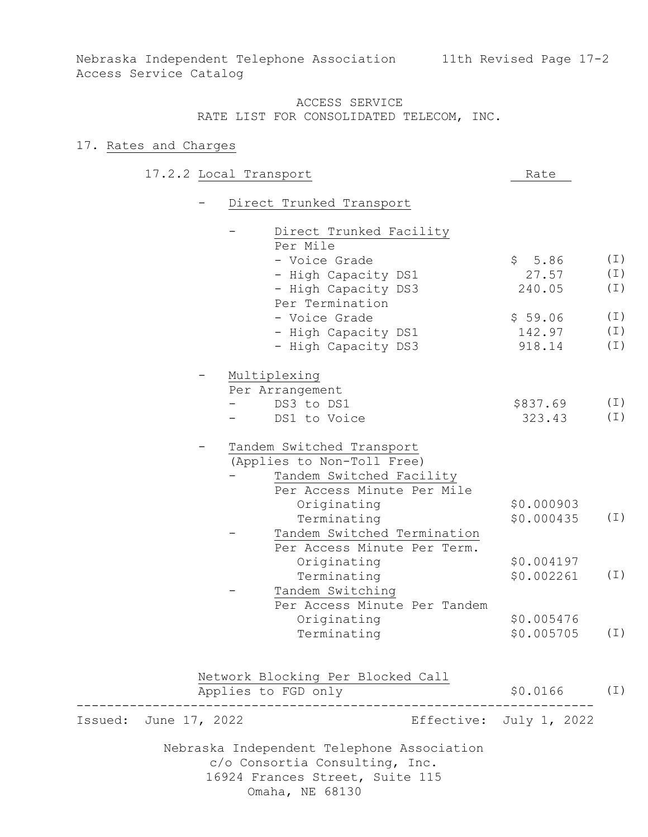Nebraska Independent Telephone Association 11th Revised Page 17-2 Access Service Catalog

> ACCESS SERVICE RATE LIST FOR CONSOLIDATED TELECOM, INC.

### 17. Rates and Charges

|  | 17.2.2 Local Transport | Rate |
|--|------------------------|------|
|  |                        |      |

- Direct Trunked Transport

|         |               | Direct Trunked Facility<br>Per Mile                                          |                         |          |
|---------|---------------|------------------------------------------------------------------------------|-------------------------|----------|
|         |               | - Voice Grade                                                                | \$5.86                  | $(\bot)$ |
|         |               | - High Capacity DS1                                                          | 27.57                   | $(\bot)$ |
|         |               | - High Capacity DS3                                                          | 240.05                  | $(\bot)$ |
|         |               | Per Termination                                                              |                         |          |
|         |               | - Voice Grade                                                                | \$59.06                 | $(\bot)$ |
|         |               | - High Capacity DS1                                                          | 142.97                  | $(\bot)$ |
|         |               | - High Capacity DS3                                                          | 918.14                  | $(\bot)$ |
|         |               | Multiplexing                                                                 |                         |          |
|         |               | Per Arrangement                                                              |                         |          |
|         |               | DS3 to DS1                                                                   | \$837.69                | $(\bot)$ |
|         |               | DS1 to Voice                                                                 | 323.43                  | $(\bot)$ |
|         |               | Tandem Switched Transport                                                    |                         |          |
|         |               | (Applies to Non-Toll Free)                                                   |                         |          |
|         |               | Tandem Switched Facility                                                     |                         |          |
|         |               | Per Access Minute Per Mile                                                   |                         |          |
|         |               | Originating                                                                  | \$0.000903              |          |
|         |               | Terminating                                                                  | \$0.000435              | $(\bot)$ |
|         |               | Tandem Switched Termination                                                  |                         |          |
|         |               | Per Access Minute Per Term.                                                  |                         |          |
|         |               | Originating                                                                  | \$0.004197              |          |
|         |               | Terminating                                                                  | \$0.002261              | $(\bot)$ |
|         |               | Tandem Switching                                                             |                         |          |
|         |               | Per Access Minute Per Tandem                                                 |                         |          |
|         |               | Originating                                                                  | \$0.005476              |          |
|         |               | Terminating                                                                  | \$0.005705              | $(\bot)$ |
|         |               |                                                                              |                         |          |
|         |               | Network Blocking Per Blocked Call                                            |                         |          |
|         |               | Applies to FGD only                                                          | \$0.0166                | ( I )    |
| Issued: | June 17, 2022 |                                                                              | Effective: July 1, 2022 |          |
|         |               | Nebraska Independent Telephone Association<br>c/o Consortia Consulting, Inc. |                         |          |
|         |               | 16924 Frances Street, Suite 115                                              |                         |          |

Omaha, NE 68130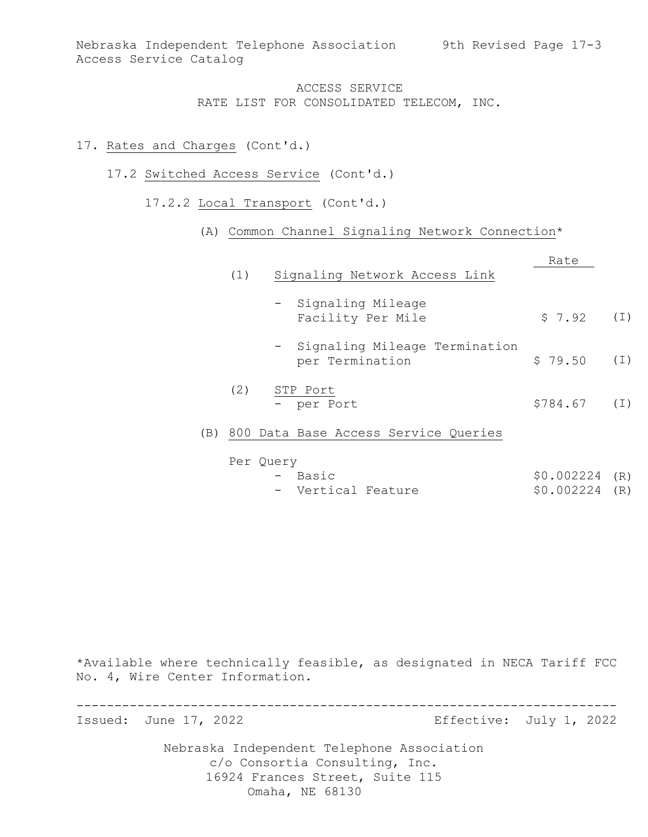### 17. Rates and Charges (Cont'd.)

- 17.2 Switched Access Service (Cont'd.)
	- 17.2.2 Local Transport (Cont'd.)

### (A) Common Channel Signaling Network Connection\*

|     | (1) | Signaling Network Access Link                      | Rate     |       |
|-----|-----|----------------------------------------------------|----------|-------|
|     |     | - Signaling Mileage<br>Facility Per Mile           | \$7.92   | (I)   |
|     |     | - Signaling Mileage Termination<br>per Termination | \$79.50  | ( I ) |
|     | (2) | STP Port<br>- per Port                             | \$784.67 | ( I ) |
| (B) |     | 800 Data Base Access Service Queries               |          |       |
|     |     | Per Ouerv                                          |          |       |

| . ⊻u∈⊥y |                                                                                                                                                                                                                                                                                                                                                                                          |
|---------|------------------------------------------------------------------------------------------------------------------------------------------------------------------------------------------------------------------------------------------------------------------------------------------------------------------------------------------------------------------------------------------|
| - Basic | $$0.002224$ (R)                                                                                                                                                                                                                                                                                                                                                                          |
| __ _    | $\lambda$ $\alpha$ $\alpha$ $\alpha$ $\alpha$ $\alpha$ $\alpha$ $\beta$ $\alpha$ $\beta$ $\alpha$ $\beta$ $\alpha$ $\beta$ $\beta$ $\alpha$ $\beta$ $\alpha$ $\beta$ $\alpha$ $\beta$ $\beta$ $\alpha$ $\beta$ $\alpha$ $\beta$ $\alpha$ $\beta$ $\alpha$ $\beta$ $\alpha$ $\beta$ $\alpha$ $\beta$ $\alpha$ $\beta$ $\alpha$ $\beta$ $\alpha$ $\beta$ $\alpha$ $\beta$ $\alpha$ $\beta$ |

| $$0.002224$ (R) |
|-----------------|
|-----------------|

\*Available where technically feasible, as designated in NECA Tariff FCC No. 4, Wire Center Information.

----------------------------------------------------------------------- Effective: July 1, 2022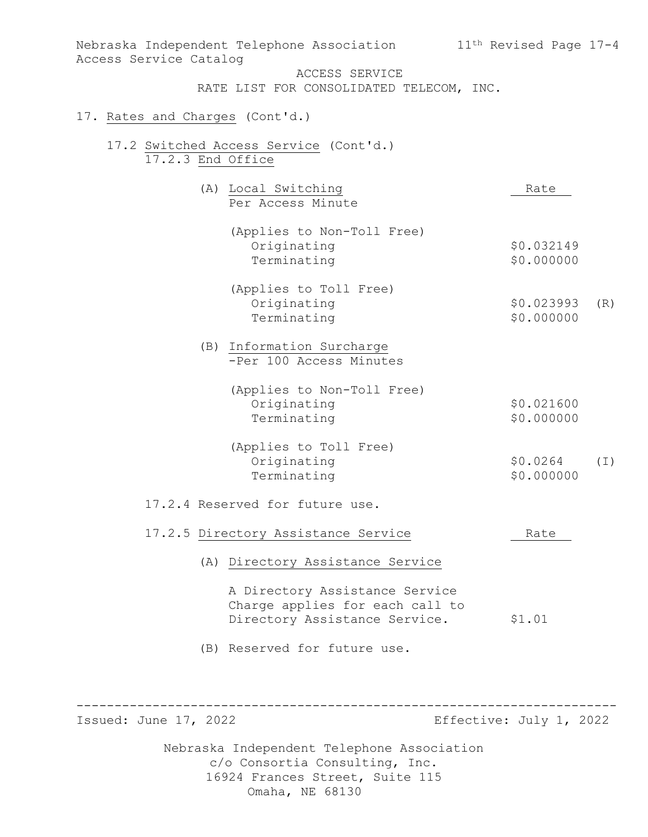| Nebraska Independent Telephone Association<br>Access Service Catalog<br>ACCESS SERVICE<br>RATE LIST FOR CONSOLIDATED TELECOM, INC.<br>17. Rates and Charges (Cont'd.)<br>17.2 Switched Access Service (Cont'd.)<br>17.2.3 End Office | 11 <sup>th</sup> Revised Page 17-4 |
|--------------------------------------------------------------------------------------------------------------------------------------------------------------------------------------------------------------------------------------|------------------------------------|
| (A) Local Switching<br>Per Access Minute                                                                                                                                                                                             | Rate                               |
| (Applies to Non-Toll Free)<br>Originating<br>Terminating                                                                                                                                                                             | \$0.032149<br>\$0.000000           |
| (Applies to Toll Free)<br>Originating<br>Terminating                                                                                                                                                                                 | \$0.023993<br>(R)<br>\$0.000000    |
| (B) Information Surcharge<br>-Per 100 Access Minutes                                                                                                                                                                                 |                                    |
| (Applies to Non-Toll Free)<br>Originating<br>Terminating                                                                                                                                                                             | \$0.021600<br>\$0.000000           |
| (Applies to Toll Free)<br>Originating<br>Terminating                                                                                                                                                                                 | \$0.0264<br>$(\top)$<br>\$0.000000 |
| 17.2.4 Reserved for future use.                                                                                                                                                                                                      |                                    |
| 17.2.5 Directory Assistance Service                                                                                                                                                                                                  | Rate                               |
| (A) Directory Assistance Service                                                                                                                                                                                                     |                                    |
| A Directory Assistance Service<br>Charge applies for each call to<br>Directory Assistance Service.                                                                                                                                   | \$1.01                             |
| (B) Reserved for future use.                                                                                                                                                                                                         |                                    |

----------------------------------------------------------------------- Effective: July 1, 2022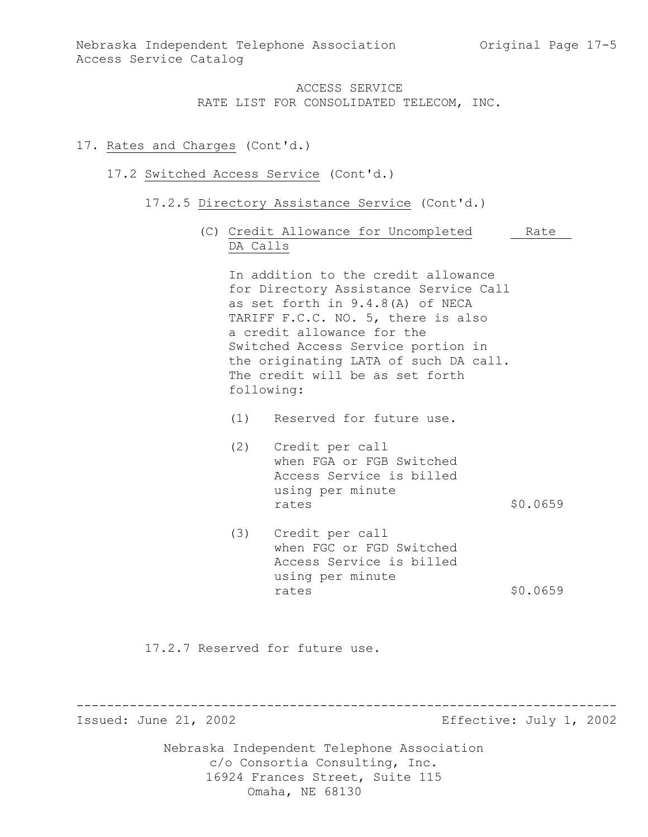### 17. Rates and Charges (Cont'd.)

#### 17.2 Switched Access Service (Cont'd.)

- 17.2.5 Directory Assistance Service (Cont'd.)
	- (C) Credit Allowance for Uncompleted Rate DA Calls

In addition to the credit allowance for Directory Assistance Service Call as set forth in 9.4.8(A) of NECA TARIFF F.C.C. NO. 5, there is also a credit allowance for the Switched Access Service portion in the originating LATA of such DA call. The credit will be as set forth following:

- (1) Reserved for future use.
- (2) Credit per call when FGA or FGB Switched Access Service is billed using per minute rates \$0.0659
- (3) Credit per call when FGC or FGD Switched Access Service is billed using per minute rates \$0.0659

17.2.7 Reserved for future use.

----------------------------------------------------------------------- Effective: July 1, 2002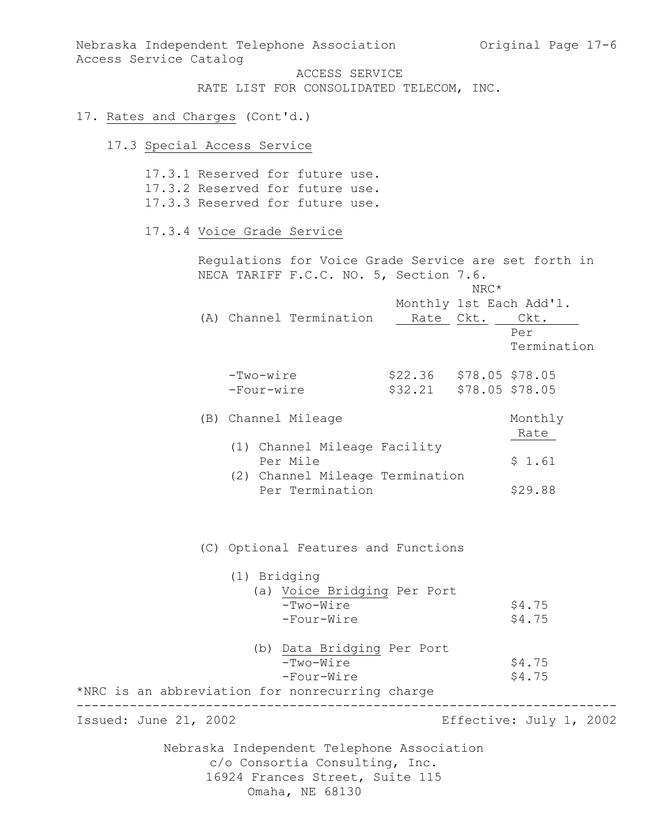Nebraska Independent Telephone Association and Original Page 17-6 Access Service Catalog ACCESS SERVICE RATE LIST FOR CONSOLIDATED TELECOM, INC. 17. Rates and Charges (Cont'd.)

# 17.3 Special Access Service

|                                                 |                           | 17.3.1 Reserved for future use.<br>17.3.2 Reserved for future use.<br>17.3.3 Reserved for future use. |                                       |        |                                                       |
|-------------------------------------------------|---------------------------|-------------------------------------------------------------------------------------------------------|---------------------------------------|--------|-------------------------------------------------------|
|                                                 |                           | 17.3.4 Voice Grade Service                                                                            |                                       |        |                                                       |
|                                                 |                           | Regulations for Voice Grade Service are set forth in<br>NECA TARIFF F.C.C. NO. 5, Section 7.6.        |                                       | $NRC*$ |                                                       |
|                                                 |                           | (A) Channel Termination                                                                               | Rate                                  | Ckt.   | Monthly 1st Each Add'l.<br>Ckt.<br>Per<br>Termination |
|                                                 | $-Two-wire$<br>-Four-wire |                                                                                                       | $$22.36$ $$78.05$ $$78.05$<br>\$32.21 |        | \$78.05 \$78.05                                       |
|                                                 |                           | (B) Channel Mileage                                                                                   |                                       |        | Monthly<br>Rate                                       |
|                                                 |                           | (1) Channel Mileage Facility<br>Per Mile                                                              |                                       |        | \$1.61                                                |
|                                                 |                           | (2) Channel Mileage Termination<br>Per Termination                                                    |                                       |        | \$29.88                                               |
|                                                 |                           | (C) Optional Features and Functions                                                                   |                                       |        |                                                       |
|                                                 |                           | (1) Bridging<br>(a) Voice Bridging Per Port<br>-Two-Wire<br>-Four-Wire                                |                                       |        | \$4.75<br>\$4.75                                      |
| *NRC is an abbreviation for nonrecurring charge |                           | (b) Data Bridging Per Port<br>-Two-Wire<br>-Four-Wire                                                 |                                       |        | \$4.75<br>\$4.75                                      |
| Issued: June 21, 2002                           |                           |                                                                                                       |                                       |        | Effective: July 1, 2002                               |
|                                                 |                           | Nebraska Independent Telephone Association<br>c/o Consortia Consulting, Inc.                          |                                       |        |                                                       |

16924 Frances Street, Suite 115 Omaha, NE 68130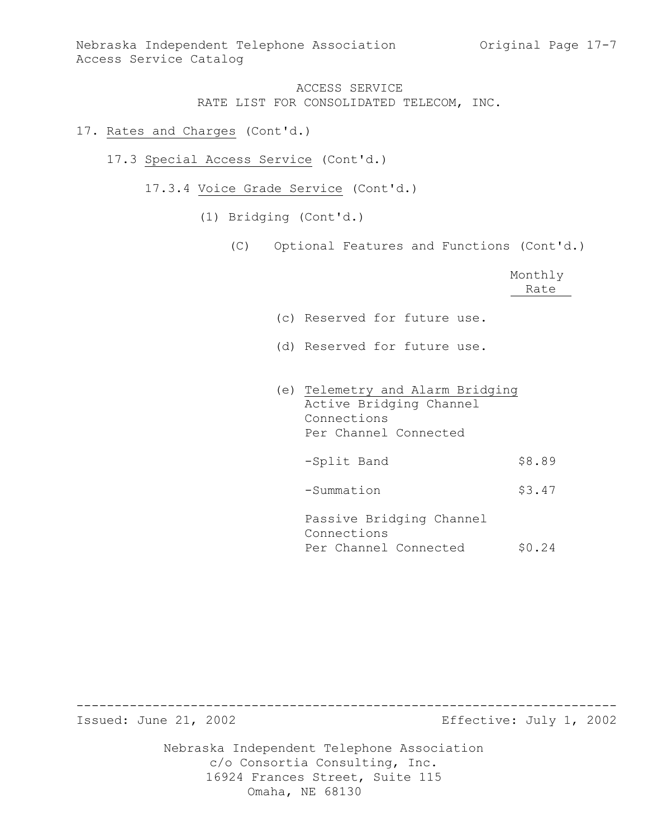### 17. Rates and Charges (Cont'd.)

- 17.3 Special Access Service (Cont'd.)
	- 17.3.4 Voice Grade Service (Cont'd.)
		- (1) Bridging (Cont'd.)
			- (C) Optional Features and Functions (Cont'd.)

|                                                                                                     | Monthly<br>Rate |
|-----------------------------------------------------------------------------------------------------|-----------------|
| (c) Reserved for future use.                                                                        |                 |
| (d) Reserved for future use.                                                                        |                 |
| (e) Telemetry and Alarm Bridging<br>Active Bridging Channel<br>Connections<br>Per Channel Connected |                 |
| -Split Band                                                                                         | \$8.89          |
| -Summation                                                                                          | \$3.47          |
| Passive Bridging Channel<br>Connections<br>Per Channel Connected                                    | \$0.24          |

----------------------------------------------------------------------- Effective: July 1, 2002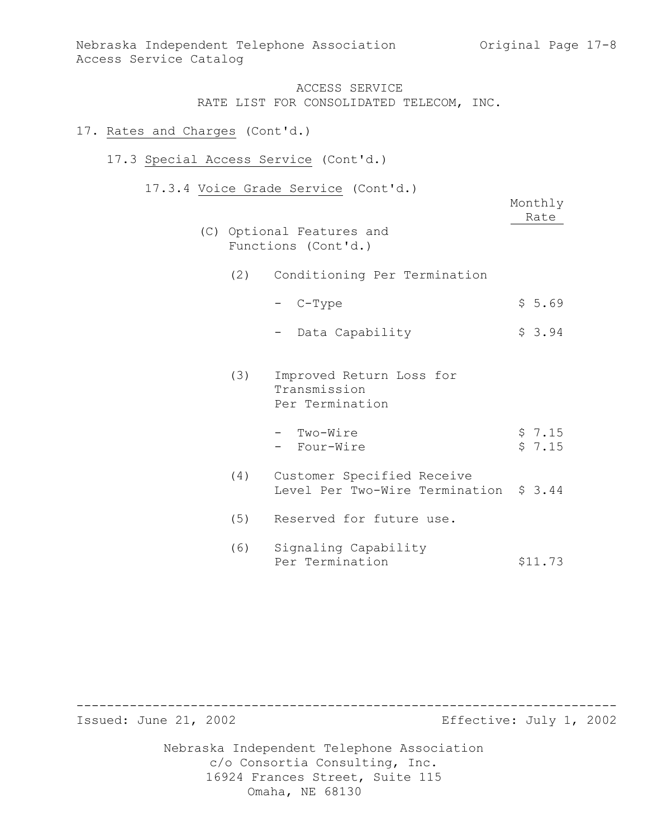### 17. Rates and Charges (Cont'd.)

### 17.3 Special Access Service (Cont'd.)

17.3.4 Voice Grade Service (Cont'd.)

|     | $0 + 0$ $0 + 0$ $0 - 0$ $0 - 0$ $0 - 0$<br>$\sqrt{2}$<br>(C) Optional Features and<br>Functions (Cont'd.) | Monthly<br>Rate  |
|-----|-----------------------------------------------------------------------------------------------------------|------------------|
| (2) | Conditioning Per Termination                                                                              |                  |
|     | - C-Type                                                                                                  | \$5.69           |
|     | Data Capability                                                                                           | \$3.94           |
| (3) | Improved Return Loss for<br>Transmission<br>Per Termination                                               |                  |
|     | - Two-Wire<br>- Four-Wire                                                                                 | \$7.15<br>\$7.15 |
| (4) | Customer Specified Receive<br>Level Per Two-Wire Termination \$ 3.44                                      |                  |
| (5) | Reserved for future use.                                                                                  |                  |
| (6) | Signaling Capability<br>Per Termination                                                                   | \$11.73          |

----------------------------------------------------------------------- Effective: July 1, 2002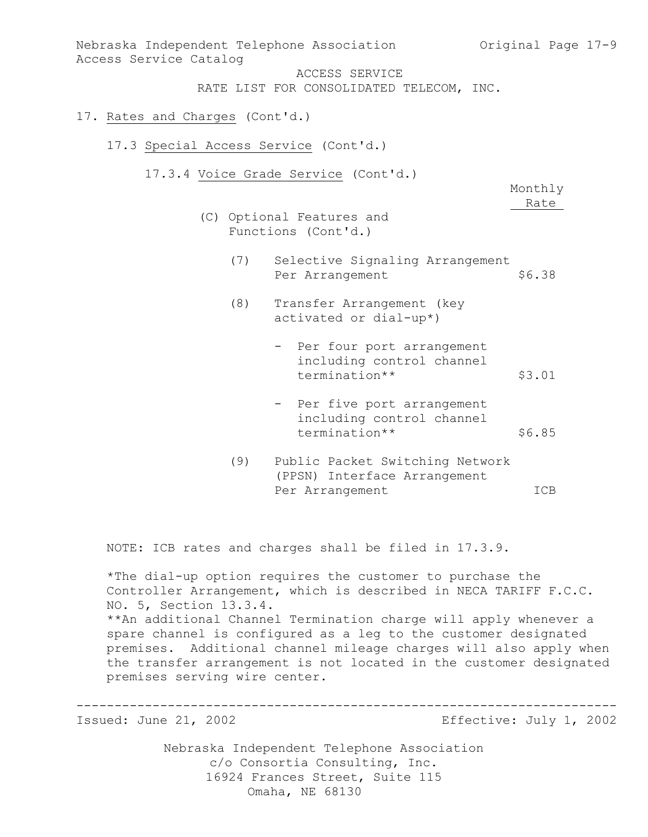| Nebraska Independent Telephone Association<br>Access Service Catalog | ACCESS SERVICE                                                            | Original Page 17-9 |
|----------------------------------------------------------------------|---------------------------------------------------------------------------|--------------------|
|                                                                      | RATE LIST FOR CONSOLIDATED TELECOM, INC.                                  |                    |
| 17. Rates and Charges (Cont'd.)                                      |                                                                           |                    |
| 17.3 Special Access Service (Cont'd.)                                |                                                                           |                    |
|                                                                      | 17.3.4 Voice Grade Service (Cont'd.)                                      | Monthly<br>Rate    |
|                                                                      | (C) Optional Features and<br>Functions (Cont'd.)                          |                    |
| (7)                                                                  | Selective Signaling Arrangement<br>Per Arrangement                        | \$6.38             |
| (8)                                                                  | Transfer Arrangement (key<br>activated or dial-up*)                       |                    |
|                                                                      | - Per four port arrangement<br>including control channel<br>termination** | \$3.01             |
|                                                                      | - Per five port arrangement<br>including control channel<br>termination** | \$6.85             |
| (9)                                                                  | Public Packet Switching Network<br>(PPSN) Interface Arrangement           |                    |

Per Arrangement ICB

NOTE: ICB rates and charges shall be filed in 17.3.9.

\*The dial-up option requires the customer to purchase the Controller Arrangement, which is described in NECA TARIFF F.C.C. NO. 5, Section 13.3.4. \*\*An additional Channel Termination charge will apply whenever a spare channel is configured as a leg to the customer designated premises. Additional channel mileage charges will also apply when the transfer arrangement is not located in the customer designated premises serving wire center.

----------------------------------------------------------------------- Effective: July 1, 2002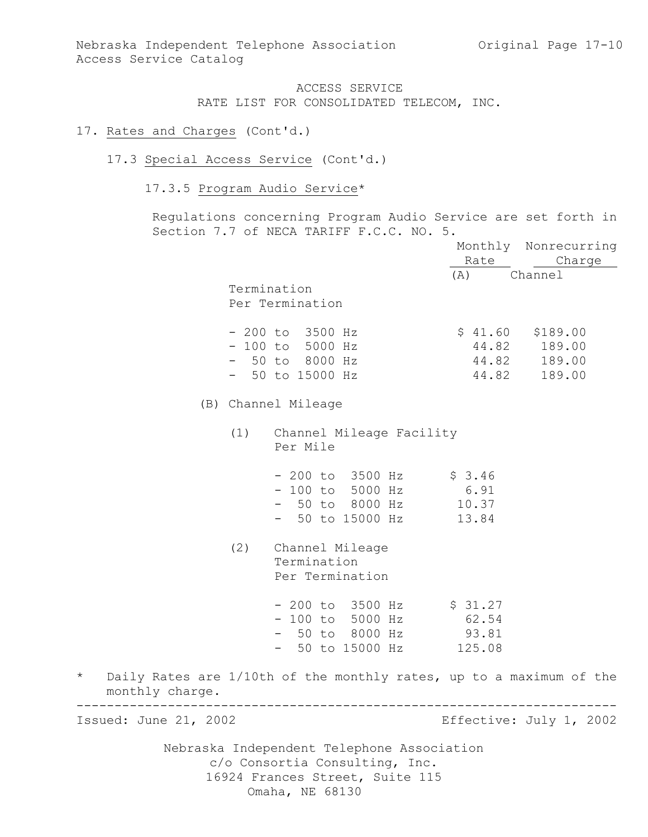#### 17. Rates and Charges (Cont'd.)

#### 17.3 Special Access Service (Cont'd.)

# 17.3.5 Program Audio Service\*

Regulations concerning Program Audio Service are set forth in Section 7.7 of NECA TARIFF F.C.C. NO. 5.

|                            |                                                                     |        | Monthly Nonrecurring    |
|----------------------------|---------------------------------------------------------------------|--------|-------------------------|
|                            |                                                                     |        | Rate Charge             |
|                            |                                                                     | (A)    | Channel                 |
|                            | Termination                                                         |        |                         |
|                            | Per Termination                                                     |        |                         |
|                            | $-200$ to $3500$ Hz                                                 |        | $$41.60$ $$189.00$      |
|                            | $-100$ to 5000 Hz                                                   |        | 44.82 189.00            |
|                            | $-50$ to 8000 Hz                                                    |        | 44.82 189.00            |
|                            | $-50$ to 15000 Hz                                                   | 44.82  | 189.00                  |
|                            | (B) Channel Mileage                                                 |        |                         |
|                            | (1) Channel Mileage Facility<br>Per Mile                            |        |                         |
|                            | $-200$ to 3500 Hz \$ 3.46                                           |        |                         |
|                            | - 100 to 5000 Hz 6.91                                               |        |                         |
|                            | - 50 to 8000 Hz 10.37                                               |        |                         |
|                            | - 50 to 15000 Hz                                                    | 13.84  |                         |
| (2)                        | Channel Mileage                                                     |        |                         |
|                            | Termination                                                         |        |                         |
|                            | Per Termination                                                     |        |                         |
|                            | - 200 to 3500 Hz \$ 31.27                                           |        |                         |
|                            | - 100 to 5000 Hz 62.54                                              |        |                         |
|                            | - 50 to 8000 Hz 93.81                                               |        |                         |
|                            | - 50 to 15000 Hz                                                    | 125.08 |                         |
| $\star$<br>monthly charge. | Daily Rates are 1/10th of the monthly rates, up to a maximum of the |        |                         |
| Issued: June 21, 2002      |                                                                     |        | Effective: July 1, 2002 |
|                            |                                                                     |        |                         |
|                            | Nebraska Independent Telephone Association                          |        |                         |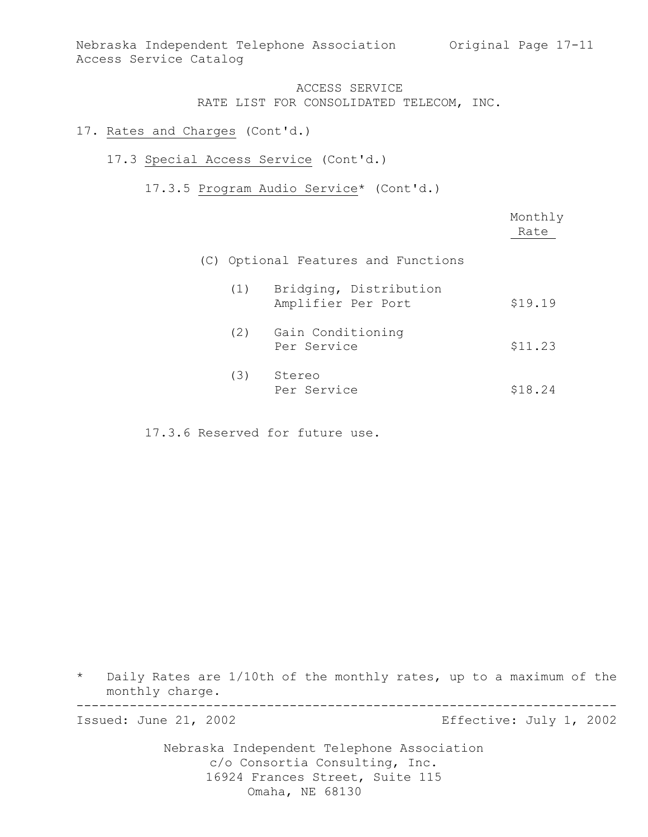### 17. Rates and Charges (Cont'd.)

### 17.3 Special Access Service (Cont'd.)

17.3.5 Program Audio Service\* (Cont'd.)

|     |                                              | Monthly<br>Rate |
|-----|----------------------------------------------|-----------------|
|     | (C) Optional Features and Functions          |                 |
| (1) | Bridging, Distribution<br>Amplifier Per Port | \$19.19         |
| (2) | Gain Conditioning<br>Per Service             | \$11.23         |
| (3) | Stereo<br>Per Service                        | \$18.24         |

17.3.6 Reserved for future use.

\* Daily Rates are 1/10th of the monthly rates, up to a maximum of the monthly charge.

-----------------------------------------------------------------------

Issued: June 21, 2002 Effective: July 1, 2002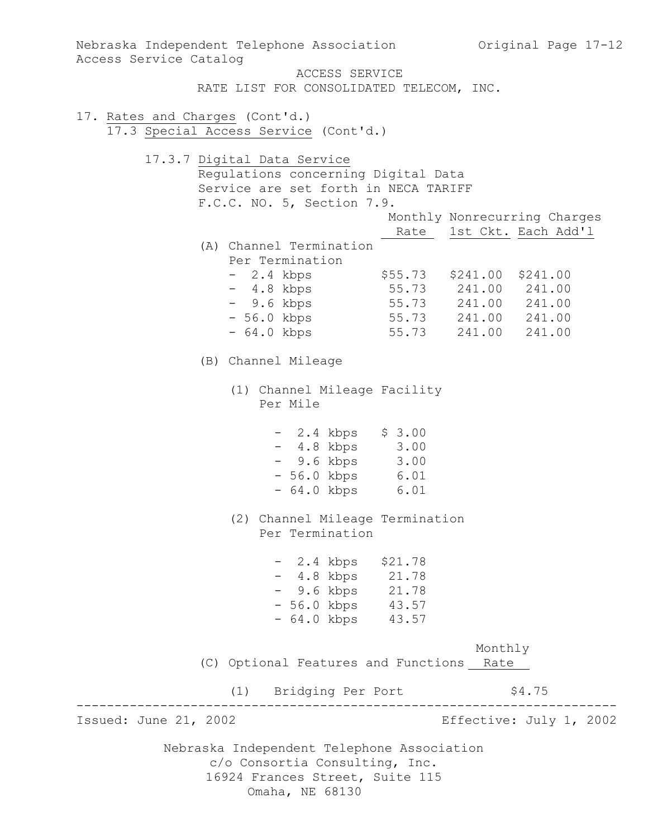Nebraska Independent Telephone Association c/o Consortia Consulting, Inc. 16924 Frances Street, Suite 115 Nebraska Independent Telephone Association (Original Page 17-12) Access Service Catalog ACCESS SERVICE RATE LIST FOR CONSOLIDATED TELECOM, INC. 17. Rates and Charges (Cont'd.) 17.3 Special Access Service (Cont'd.) 17.3.7 Digital Data Service Regulations concerning Digital Data Service are set forth in NECA TARIFF F.C.C. NO. 5, Section 7.9. Monthly Nonrecurring Charges Rate 1st Ckt. Each Add'l (A) Channel Termination Per Termination - 2.4 kbps \$55.73 \$241.00 \$241.00 - 4.8 kbps 55.73 241.00 241.00 - 9.6 kbps 55.73 241.00 241.00 - 56.0 kbps 55.73 241.00 241.00 - 64.0 kbps 55.73 241.00 241.00 (B) Channel Mileage (1) Channel Mileage Facility Per Mile - 2.4 kbps \$ 3.00 - 4.8 kbps 3.00 - 9.6 kbps 3.00 - 56.0 kbps 6.01 - 64.0 kbps 6.01 (2) Channel Mileage Termination Per Termination - 2.4 kbps \$21.78 - 4.8 kbps 21.78 - 9.6 kbps 21.78 - 56.0 kbps 43.57 - 64.0 kbps 43.57 Monthly (C) Optional Features and Functions Rate (1) Bridging Per Port \$4.75 ----------------------------------------------------------------------- Effective: July 1, 2002

Omaha, NE 68130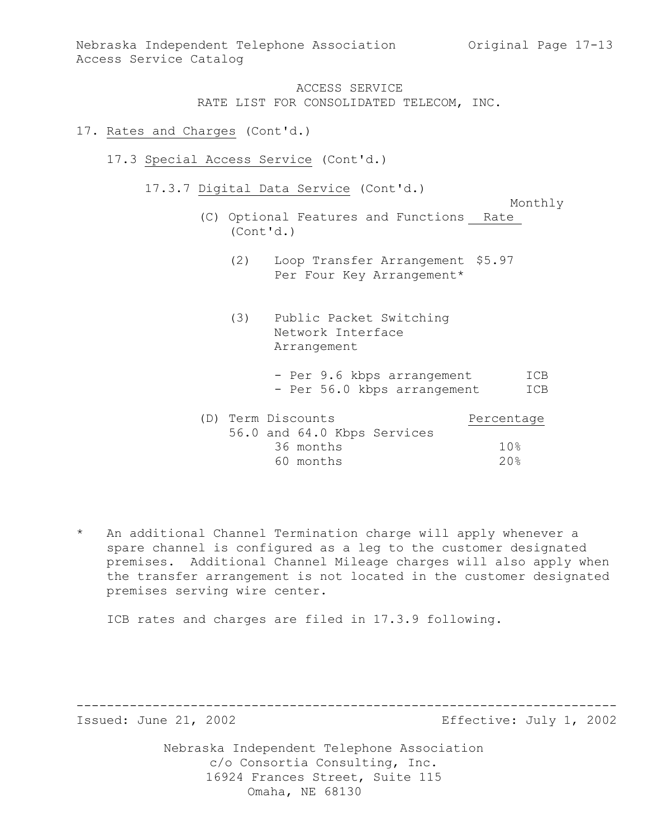#### 17. Rates and Charges (Cont'd.)

- 17.3 Special Access Service (Cont'd.)
	- 17.3.7 Digital Data Service (Cont'd.)

Monthly

- (C) Optional Features and Functions Rate (Cont'd.)
	- (2) Loop Transfer Arrangement \$5.97 Per Four Key Arrangement\*
	- (3) Public Packet Switching Network Interface Arrangement
		- Per 9.6 kbps arrangement ICB - Per 56.0 kbps arrangement ICB

| (D) Term Discounts |           |                             | Percentage |
|--------------------|-----------|-----------------------------|------------|
|                    |           | 56.0 and 64.0 Kbps Services |            |
|                    | 36 months |                             | 10%        |
|                    | 60 months |                             | 20%        |

\* An additional Channel Termination charge will apply whenever a spare channel is configured as a leg to the customer designated premises. Additional Channel Mileage charges will also apply when the transfer arrangement is not located in the customer designated premises serving wire center.

ICB rates and charges are filed in 17.3.9 following.

----------------------------------------------------------------------- Effective: July 1, 2002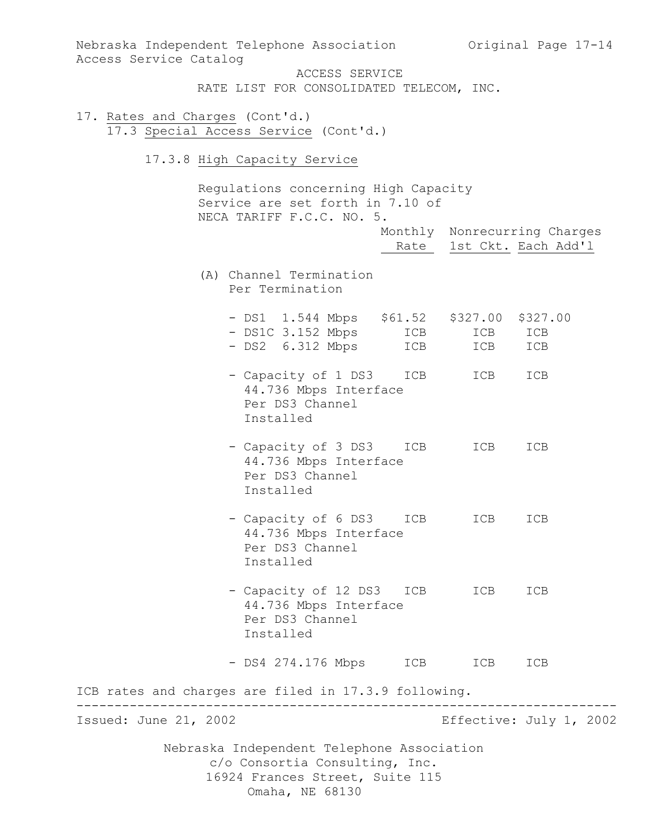| Nebraska Independent Telephone Association 6 Original Page 17-14<br>Access Service Catalog                                         |                                   |
|------------------------------------------------------------------------------------------------------------------------------------|-----------------------------------|
| ACCESS SERVICE<br>RATE LIST FOR CONSOLIDATED TELECOM, INC.                                                                         |                                   |
| 17. Rates and Charges (Cont'd.)<br>17.3 Special Access Service (Cont'd.)                                                           |                                   |
| 17.3.8 High Capacity Service                                                                                                       |                                   |
| Regulations concerning High Capacity<br>Service are set forth in 7.10 of<br>NECA TARIFF F.C.C. NO. 5.                              | Monthly Nonrecurring Charges      |
|                                                                                                                                    | Rate 1st Ckt. Each Add'l          |
| (A) Channel Termination<br>Per Termination                                                                                         |                                   |
| - DS1 1.544 Mbps \$61.52 \$327.00<br>- DS1C 3.152 Mbps ICB<br>- DS2 6.312 Mbps ICB                                                 | \$327.00<br>ICB ICB<br>ICB<br>ICB |
| - Capacity of 1 DS3<br>44.736 Mbps Interface<br>Per DS3 Channel<br>Installed                                                       | ICB<br>ICB<br>ICB                 |
| - Capacity of 3 DS3 ICB ICB<br>44.736 Mbps Interface<br>Per DS3 Channel<br>Installed                                               | ICB                               |
| - Capacity of 6 DS3 ICB<br>44.736 Mbps Interface<br>Per DS3 Channel<br>Installed                                                   | ICB<br>ICB                        |
| - Capacity of 12 DS3 ICB<br>44.736 Mbps Interface<br>Per DS3 Channel<br>Installed                                                  | ICB<br>ICB                        |
| - DS4 274.176 Mbps ICB ICB                                                                                                         | ICB                               |
| ICB rates and charges are filed in 17.3.9 following.<br>----------------                                                           |                                   |
| Issued: June 21, 2002                                                                                                              | Effective: July 1, 2002           |
| Nebraska Independent Telephone Association<br>c/o Consortia Consulting, Inc.<br>16924 Frances Street, Suite 115<br>Omaha, NE 68130 |                                   |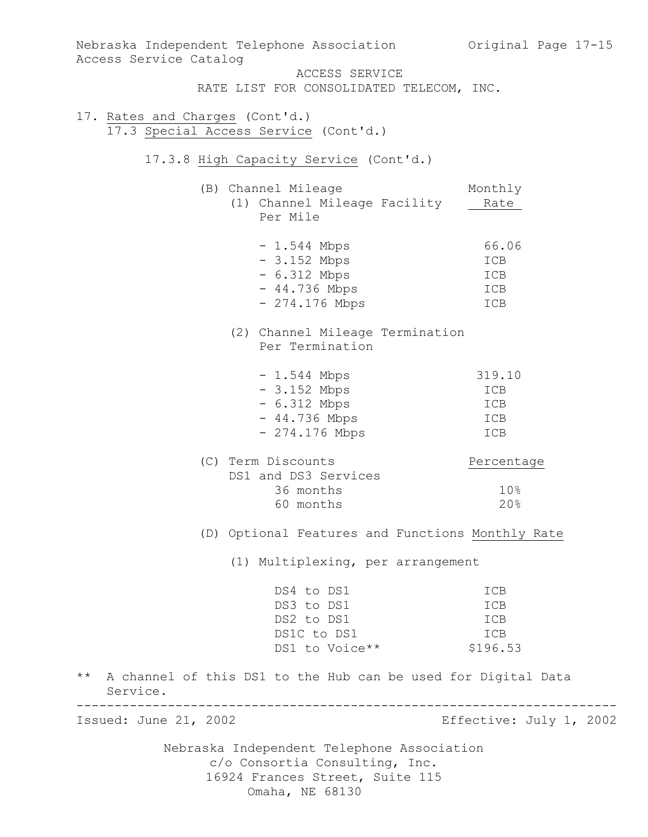| Access Service Catalog          | Nebraska Independent Telephone Association Criginal Page 17-15 |                         |  |  |
|---------------------------------|----------------------------------------------------------------|-------------------------|--|--|
|                                 | ACCESS SERVICE                                                 |                         |  |  |
|                                 | RATE LIST FOR CONSOLIDATED TELECOM, INC.                       |                         |  |  |
| 17. Rates and Charges (Cont'd.) |                                                                |                         |  |  |
|                                 | 17.3 Special Access Service (Cont'd.)                          |                         |  |  |
|                                 |                                                                |                         |  |  |
|                                 | 17.3.8 High Capacity Service (Cont'd.)                         |                         |  |  |
|                                 | (B) Channel Mileage                                            | Monthly                 |  |  |
|                                 | (1) Channel Mileage Facility                                   | Rate                    |  |  |
|                                 | Per Mile                                                       |                         |  |  |
|                                 | $-1.544$ Mbps                                                  | 66.06                   |  |  |
|                                 | $-3.152$ Mbps                                                  | ICB                     |  |  |
|                                 | $-6.312$ Mbps                                                  | ICB                     |  |  |
|                                 | $-44.736$ Mbps                                                 | ICB                     |  |  |
|                                 | $-274.176$ Mbps                                                | ICB                     |  |  |
|                                 | (2) Channel Mileage Termination<br>Per Termination             |                         |  |  |
|                                 | $-1.544$ Mbps                                                  | 319.10                  |  |  |
|                                 | $-3.152$ Mbps                                                  | ICB                     |  |  |
|                                 | $-6.312$ Mbps                                                  | ICB                     |  |  |
|                                 | $-44.736$ Mbps                                                 | ICB                     |  |  |
|                                 | $-274.176$ Mbps                                                | ICB                     |  |  |
|                                 | (C) Term Discounts                                             | Percentage              |  |  |
|                                 | DS1 and DS3 Services                                           |                         |  |  |
|                                 | 36 months                                                      | 10%                     |  |  |
|                                 | 60 months                                                      | 20%                     |  |  |
|                                 | (D) Optional Features and Functions Monthly Rate               |                         |  |  |
|                                 | (1) Multiplexing, per arrangement                              |                         |  |  |
|                                 | DS4 to DS1                                                     | ICB                     |  |  |
|                                 | DS3 to DS1                                                     | ICB                     |  |  |
|                                 | DS2 to DS1                                                     | ICB                     |  |  |
|                                 | DS1C to DS1                                                    | ICB                     |  |  |
|                                 | DS1 to Voice**                                                 | \$196.53                |  |  |
| $\star \star$<br>Service.       | A channel of this DS1 to the Hub can be used for Digital Data  |                         |  |  |
| Issued: June 21, 2002           |                                                                | Effective: July 1, 2002 |  |  |
|                                 | Nebraska Independent Telephone Association                     |                         |  |  |
| c/o Consortia Consulting, Inc.  |                                                                |                         |  |  |
|                                 | 16924 Frances Street, Suite 115                                |                         |  |  |
|                                 | Omaha, NE 68130                                                |                         |  |  |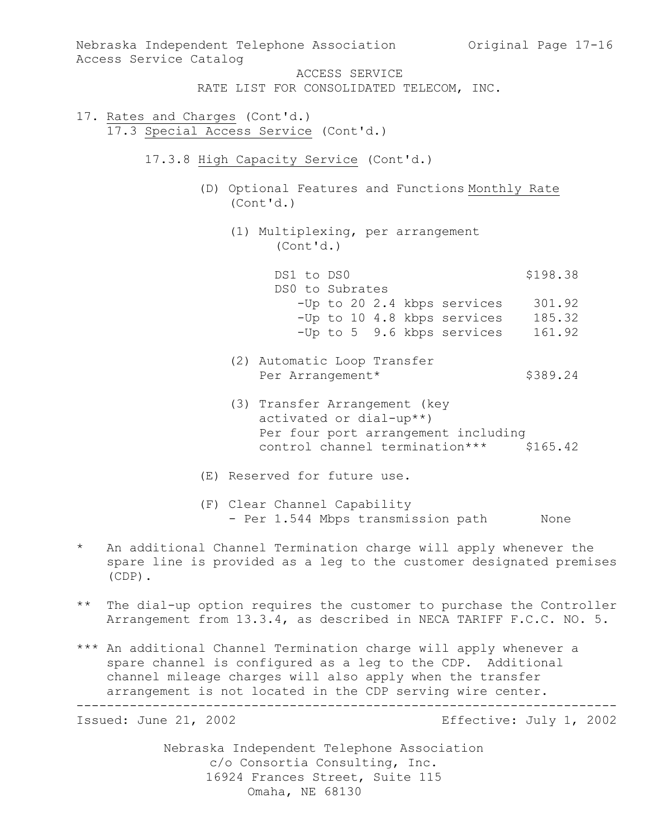| Nebraska Independent Telephone Association<br>Access Service Catalog                                                                                             | Original Page 17-16 |
|------------------------------------------------------------------------------------------------------------------------------------------------------------------|---------------------|
| ACCESS SERVICE                                                                                                                                                   |                     |
|                                                                                                                                                                  |                     |
| RATE LIST FOR CONSOLIDATED TELECOM, INC.                                                                                                                         |                     |
| 17. Rates and Charges (Cont'd.)                                                                                                                                  |                     |
| 17.3 Special Access Service (Cont'd.)                                                                                                                            |                     |
|                                                                                                                                                                  |                     |
| 17.3.8 High Capacity Service (Cont'd.)                                                                                                                           |                     |
| (D) Optional Features and Functions Monthly Rate<br>(Cont'd.)                                                                                                    |                     |
|                                                                                                                                                                  |                     |
| (1) Multiplexing, per arrangement<br>(Cont'd.)                                                                                                                   |                     |
|                                                                                                                                                                  |                     |
| DS1 to DS0                                                                                                                                                       | \$198.38            |
| DS0 to Subrates                                                                                                                                                  |                     |
| -Up to 20 2.4 kbps services                                                                                                                                      | 301.92              |
| -Up to 10 4.8 kbps services 185.32                                                                                                                               |                     |
| -Up to 5 9.6 kbps services                                                                                                                                       | 161.92              |
| (2) Automatic Loop Transfer                                                                                                                                      |                     |
| Per Arrangement*                                                                                                                                                 | \$389.24            |
|                                                                                                                                                                  |                     |
| (3) Transfer Arrangement (key<br>activated or dial-up**)                                                                                                         |                     |
|                                                                                                                                                                  |                     |
| Per four port arrangement including                                                                                                                              |                     |
| control channel termination*** \$165.42                                                                                                                          |                     |
| (E) Reserved for future use.                                                                                                                                     |                     |
| (F) Clear Channel Capability                                                                                                                                     |                     |
| - Per 1.544 Mbps transmission path                                                                                                                               | None                |
|                                                                                                                                                                  |                     |
| $^\star$<br>An additional Channel Termination charge will apply whenever the<br>spare line is provided as a leg to the customer designated premises<br>$(CDP)$ . |                     |

- \*\* The dial-up option requires the customer to purchase the Controller Arrangement from 13.3.4, as described in NECA TARIFF F.C.C. NO. 5.
- \*\*\* An additional Channel Termination charge will apply whenever a spare channel is configured as a leg to the CDP. Additional channel mileage charges will also apply when the transfer arrangement is not located in the CDP serving wire center.

-----------------------------------------------------------------------

Effective: July 1, 2002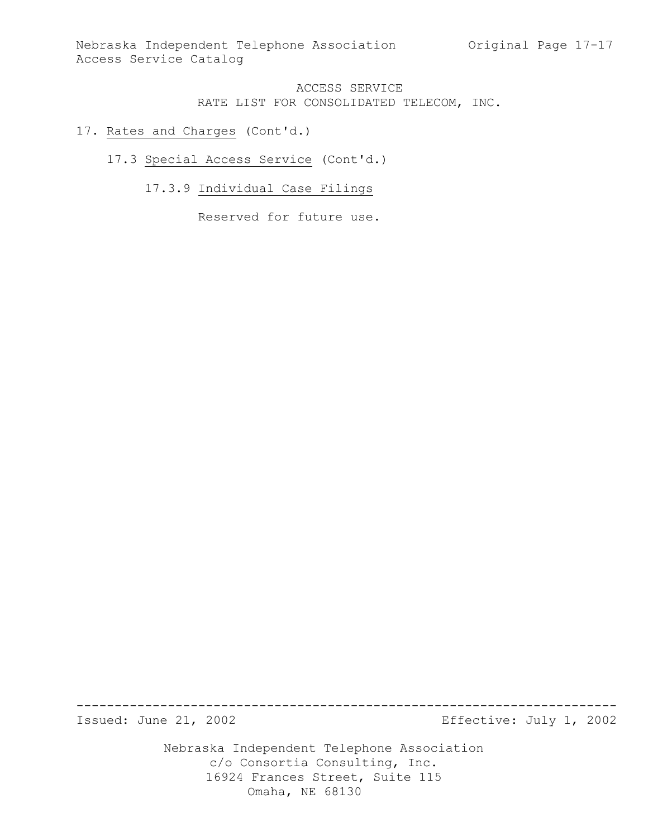### 17. Rates and Charges (Cont'd.)

### 17.3 Special Access Service (Cont'd.)

# 17.3.9 Individual Case Filings

Reserved for future use.

----------------------------------------------------------------------- Effective: July 1, 2002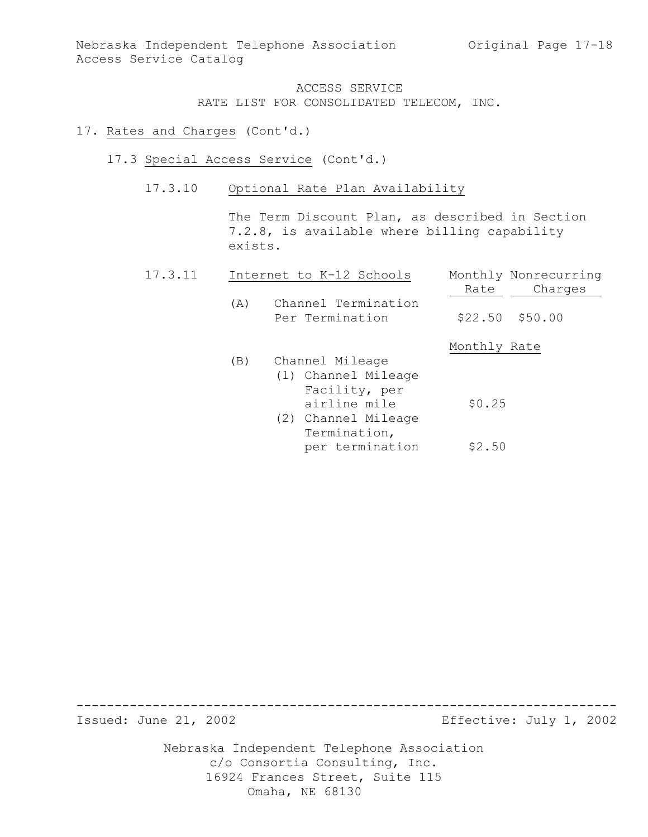#### 17. Rates and Charges (Cont'd.)

- 17.3 Special Access Service (Cont'd.)
	- 17.3.10 Optional Rate Plan Availability

The Term Discount Plan, as described in Section 7.2.8, is available where billing capability exists.

| 17.3.11 |     | Internet to K-12 Schools               |              | Monthly Nonrecurring |
|---------|-----|----------------------------------------|--------------|----------------------|
|         |     |                                        | Rate         | Charges              |
|         | (A) | Channel Termination<br>Per Termination |              | $$22.50$ $$50.00$    |
|         |     |                                        | Monthly Rate |                      |
|         | (B) | Channel Mileage                        |              |                      |
|         |     | (1) Channel Mileage                    |              |                      |
|         |     | Facility, per                          |              |                      |
|         |     | airline mile                           | \$0.25       |                      |
|         |     | (2) Channel Mileage                    |              |                      |
|         |     | Termination,                           |              |                      |
|         |     | per termination                        | \$2.50       |                      |

----------------------------------------------------------------------- Effective: July 1, 2002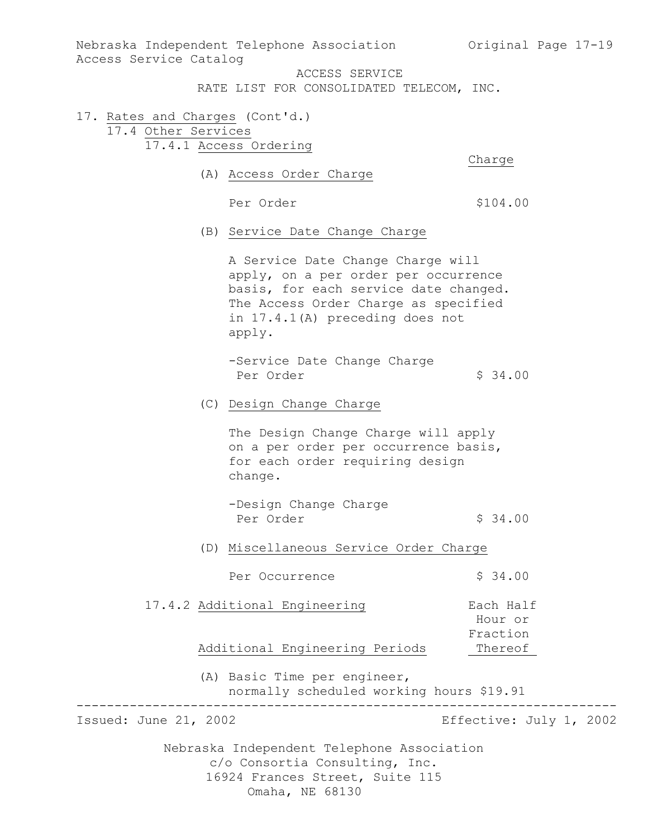Nebraska Independent Telephone Association (Original Page 17-19) Access Service Catalog

ACCESS SERVICE

RATE LIST FOR CONSOLIDATED TELECOM, INC.

17. Rates and Charges (Cont'd.) 17.4 Other Services 17.4.1 Access Ordering

Charge

(A) Access Order Charge

Per Order  $$104.00$ 

(B) Service Date Change Charge

A Service Date Change Charge will apply, on a per order per occurrence basis, for each service date changed. The Access Order Charge as specified in 17.4.1(A) preceding does not apply.

-Service Date Change Charge Per Order  $\frac{1}{2}$  34.00

(C) Design Change Charge

The Design Change Charge will apply on a per order per occurrence basis, for each order requiring design change.

(D) Miscellaneous Service Order Charge

Per Occurrence  $\frac{1}{2}$  \$ 34.00

17.4.2 Additional Engineering Fach Half Hour or Fraction

Additional Engineering Periods Thereof

(A) Basic Time per engineer, normally scheduled working hours \$19.91

----------------------------------------------------------------------- Effective: July 1, 2002

<sup>-</sup>Design Change Charge Per Order  $\sim$  \$ 34.00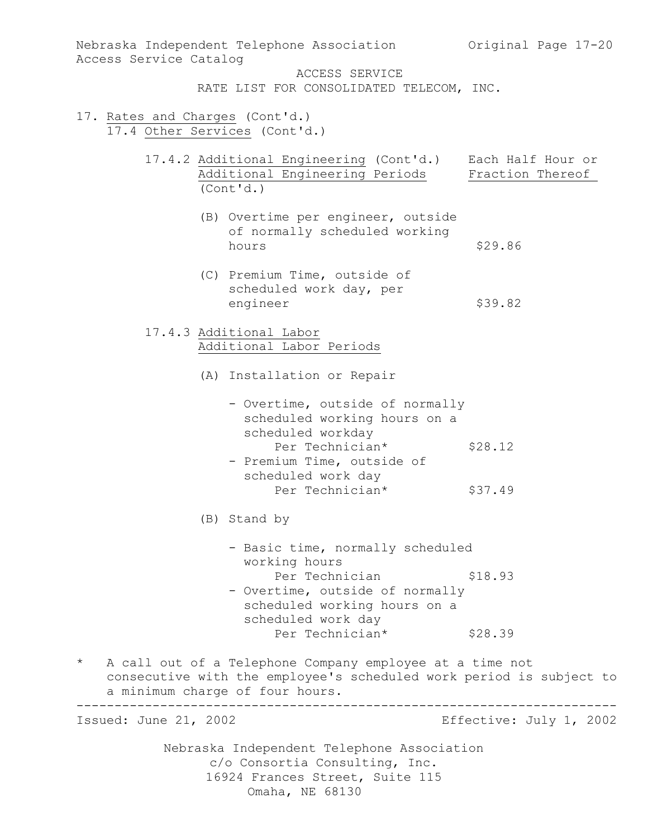| Access Service Catalog | Nebraska Independent Telephone Association                                                                                                                         | Original Page 17-20     |  |  |  |  |  |
|------------------------|--------------------------------------------------------------------------------------------------------------------------------------------------------------------|-------------------------|--|--|--|--|--|
|                        | ACCESS SERVICE<br>RATE LIST FOR CONSOLIDATED TELECOM, INC.                                                                                                         |                         |  |  |  |  |  |
|                        | 17. Rates and Charges (Cont'd.)<br>17.4 Other Services (Cont'd.)                                                                                                   |                         |  |  |  |  |  |
|                        | 17.4.2 Additional Engineering (Cont'd.) Each Half Hour or<br>Additional Engineering Periods<br>(Cont'd.)                                                           | Fraction Thereof        |  |  |  |  |  |
|                        | (B) Overtime per engineer, outside<br>of normally scheduled working<br>hours                                                                                       | \$29.86                 |  |  |  |  |  |
|                        | (C) Premium Time, outside of<br>scheduled work day, per<br>engineer                                                                                                | \$39.82                 |  |  |  |  |  |
|                        | 17.4.3 Additional Labor<br>Additional Labor Periods                                                                                                                |                         |  |  |  |  |  |
|                        | (A) Installation or Repair                                                                                                                                         |                         |  |  |  |  |  |
|                        | - Overtime, outside of normally<br>scheduled working hours on a<br>scheduled workday                                                                               |                         |  |  |  |  |  |
|                        | Per Technician*<br>- Premium Time, outside of<br>scheduled work day                                                                                                | \$28.12                 |  |  |  |  |  |
|                        | Per Technician*                                                                                                                                                    | \$37.49                 |  |  |  |  |  |
|                        | (B) Stand by                                                                                                                                                       |                         |  |  |  |  |  |
|                        | - Basic time, normally scheduled                                                                                                                                   |                         |  |  |  |  |  |
|                        | working hours<br>Per Technician<br>- Overtime, outside of normally<br>scheduled working hours on a<br>scheduled work day                                           | \$18.93                 |  |  |  |  |  |
|                        | Per Technician*                                                                                                                                                    | \$28.39                 |  |  |  |  |  |
| $\star$                | A call out of a Telephone Company employee at a time not<br>consecutive with the employee's scheduled work period is subject to<br>a minimum charge of four hours. |                         |  |  |  |  |  |
| Issued: June 21, 2002  |                                                                                                                                                                    | Effective: July 1, 2002 |  |  |  |  |  |
|                        | Nebraska Independent Telephone Association<br>c/o Consortia Consulting, Inc.<br>16924 Frances Street, Suite 115                                                    |                         |  |  |  |  |  |

Omaha, NE 68130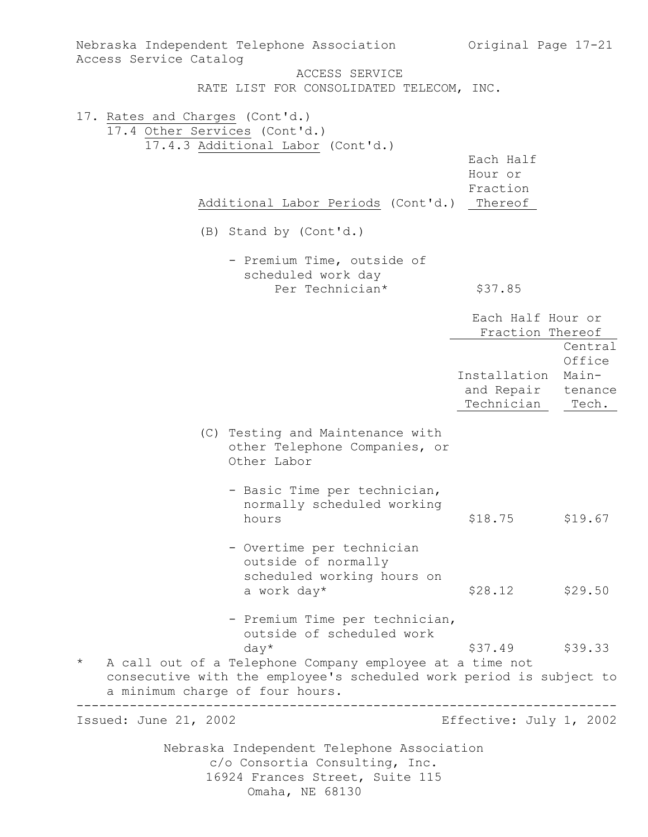| Nebraska Independent Telephone Association<br>Access Service Catalog                                                                                                          |                                                                   | Original Page 17-21                   |                  |
|-------------------------------------------------------------------------------------------------------------------------------------------------------------------------------|-------------------------------------------------------------------|---------------------------------------|------------------|
|                                                                                                                                                                               | ACCESS SERVICE                                                    |                                       |                  |
|                                                                                                                                                                               | RATE LIST FOR CONSOLIDATED TELECOM, INC.                          |                                       |                  |
| 17. Rates and Charges (Cont'd.)<br>17.4 Other Services (Cont'd.)                                                                                                              |                                                                   |                                       |                  |
| 17.4.3 Additional Labor (Cont'd.)                                                                                                                                             |                                                                   |                                       |                  |
|                                                                                                                                                                               |                                                                   | Each Half                             |                  |
|                                                                                                                                                                               |                                                                   | Hour or                               |                  |
|                                                                                                                                                                               |                                                                   | Fraction                              |                  |
|                                                                                                                                                                               | Additional Labor Periods (Cont'd.)                                | Thereof                               |                  |
| (B) Stand by (Cont'd.)                                                                                                                                                        |                                                                   |                                       |                  |
|                                                                                                                                                                               | - Premium Time, outside of                                        |                                       |                  |
|                                                                                                                                                                               | scheduled work day                                                |                                       |                  |
|                                                                                                                                                                               | Per Technician*                                                   | \$37.85                               |                  |
|                                                                                                                                                                               |                                                                   | Each Half Hour or<br>Fraction Thereof |                  |
|                                                                                                                                                                               |                                                                   |                                       | Central          |
|                                                                                                                                                                               |                                                                   |                                       | Office           |
|                                                                                                                                                                               |                                                                   | Installation                          | Main-            |
|                                                                                                                                                                               |                                                                   | and Repair<br>Technician              | tenance<br>Tech. |
|                                                                                                                                                                               |                                                                   |                                       |                  |
| Other Labor                                                                                                                                                                   | (C) Testing and Maintenance with<br>other Telephone Companies, or |                                       |                  |
|                                                                                                                                                                               |                                                                   |                                       |                  |
|                                                                                                                                                                               | - Basic Time per technician,                                      |                                       |                  |
|                                                                                                                                                                               | normally scheduled working                                        |                                       |                  |
| hours                                                                                                                                                                         |                                                                   | \$18.75                               | \$19.67          |
|                                                                                                                                                                               | - Overtime per technician                                         |                                       |                  |
|                                                                                                                                                                               | outside of normally                                               |                                       |                  |
|                                                                                                                                                                               | scheduled working hours on                                        |                                       |                  |
| a work day*                                                                                                                                                                   |                                                                   | \$28.12                               | \$29.50          |
|                                                                                                                                                                               | - Premium Time per technician,<br>outside of scheduled work       |                                       |                  |
| $day*$                                                                                                                                                                        |                                                                   | \$37.49                               | \$39.33          |
| $\star$<br>A call out of a Telephone Company employee at a time not<br>consecutive with the employee's scheduled work period is subject to<br>a minimum charge of four hours. |                                                                   |                                       |                  |
| Issued: June 21, 2002                                                                                                                                                         |                                                                   | Effective: July 1, 2002               |                  |
|                                                                                                                                                                               | Nebraska Independent Telephone Association                        |                                       |                  |
|                                                                                                                                                                               | c/o Consortia Consulting, Inc.                                    |                                       |                  |
|                                                                                                                                                                               | 16924 Frances Street, Suite 115                                   |                                       |                  |
| Omaha, NE 68130                                                                                                                                                               |                                                                   |                                       |                  |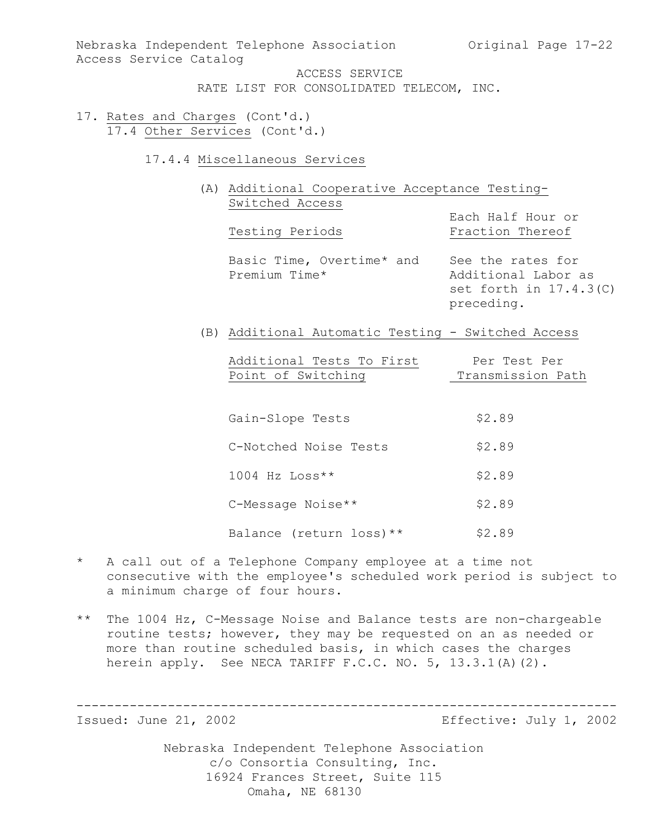Nebraska Independent Telephone Association (Original Page 17-22) Access Service Catalog

ACCESS SERVICE RATE LIST FOR CONSOLIDATED TELECOM, INC.

- 17. Rates and Charges (Cont'd.) 17.4 Other Services (Cont'd.)
	- 17.4.4 Miscellaneous Services
		- (A) Additional Cooperative Acceptance Testing-Switched Access

Testing Periods

Each Half Hour or<br>Fraction Thereof

Basic Time, Overtime\* and See the rates for<br>Premium Time\* 1998 Additional Labor

Additional Labor as set forth in 17.4.3(C) preceding.

(B) Additional Automatic Testing - Switched Access

| Additional Tests To First | Per Test Per      |
|---------------------------|-------------------|
| Point of Switching        | Transmission Path |

| Gain-Slope Tests         | \$2.89 |
|--------------------------|--------|
| C-Notched Noise Tests    | \$2.89 |
| $1004$ Hz Loss**         | \$2.89 |
| C-Message Noise**        | \$2.89 |
| Balance (return loss) ** | \$2.89 |

- \* A call out of a Telephone Company employee at a time not consecutive with the employee's scheduled work period is subject to a minimum charge of four hours.
- \*\* The 1004 Hz, C-Message Noise and Balance tests are non-chargeable routine tests; however, they may be requested on an as needed or more than routine scheduled basis, in which cases the charges herein apply. See NECA TARIFF F.C.C. NO. 5, 13.3.1(A)(2).

----------------------------------------------------------------------- Effective: July 1, 2002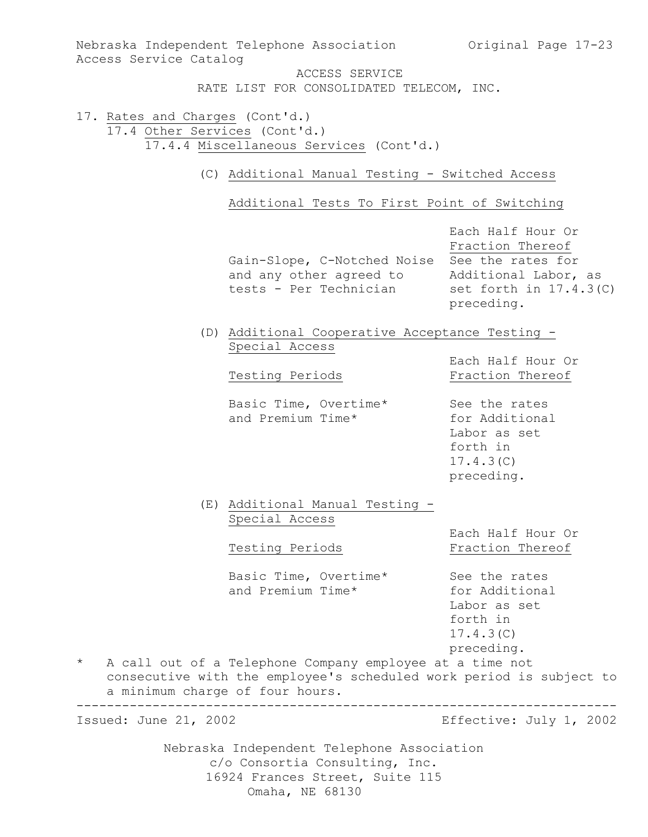| Access Service Catalog                     | Nebraska Independent Telephone Association 60 Original Page 17-23                                                                  |                                                                                                          |  |  |  |  |
|--------------------------------------------|------------------------------------------------------------------------------------------------------------------------------------|----------------------------------------------------------------------------------------------------------|--|--|--|--|
|                                            | ACCESS SERVICE<br>RATE LIST FOR CONSOLIDATED TELECOM, INC.                                                                         |                                                                                                          |  |  |  |  |
|                                            | 17. Rates and Charges (Cont'd.)<br>17.4 Other Services (Cont'd.)<br>17.4.4 Miscellaneous Services (Cont'd.)                        |                                                                                                          |  |  |  |  |
|                                            | (C) Additional Manual Testing - Switched Access                                                                                    |                                                                                                          |  |  |  |  |
|                                            | Additional Tests To First Point of Switching                                                                                       |                                                                                                          |  |  |  |  |
|                                            | Gain-Slope, C-Notched Noise See the rates for<br>and any other agreed to<br>tests - Per Technician                                 | Each Half Hour Or<br>Fraction Thereof<br>Additional Labor, as<br>set forth in $17.4.3$ (C)<br>preceding. |  |  |  |  |
|                                            | (D) Additional Cooperative Acceptance Testing -<br>Special Access                                                                  |                                                                                                          |  |  |  |  |
|                                            | Testing Periods                                                                                                                    | Each Half Hour Or<br>Fraction Thereof                                                                    |  |  |  |  |
|                                            | Basic Time, Overtime*<br>and Premium Time*                                                                                         | See the rates<br>for Additional<br>Labor as set<br>forth in<br>17.4.3(C)<br>preceding.                   |  |  |  |  |
|                                            | (E) Additional Manual Testing -<br>Special Access<br>Testing Periods                                                               | Each Half Hour Or<br>Fraction Thereof                                                                    |  |  |  |  |
|                                            | Basic Time, Overtime*<br>and Premium Time*                                                                                         | See the rates<br>for Additional<br>Labor as set<br>forth in<br>17.4.3(C)<br>preceding.                   |  |  |  |  |
| $\star$<br>a minimum charge of four hours. | A call out of a Telephone Company employee at a time not<br>consecutive with the employee's scheduled work period is subject to    |                                                                                                          |  |  |  |  |
| Issued: June 21, 2002                      |                                                                                                                                    | Effective: July 1, 2002                                                                                  |  |  |  |  |
|                                            | Nebraska Independent Telephone Association<br>c/o Consortia Consulting, Inc.<br>16924 Frances Street, Suite 115<br>Omaha, NE 68130 |                                                                                                          |  |  |  |  |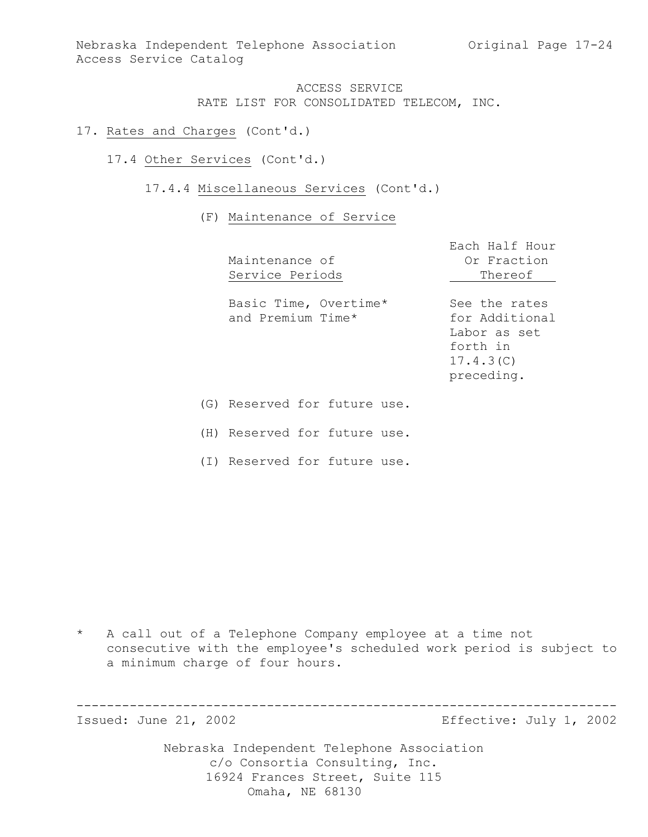Nebraska Independent Telephone Association (Original Page 17-24) Access Service Catalog

> ACCESS SERVICE RATE LIST FOR CONSOLIDATED TELECOM, INC.

- 17. Rates and Charges (Cont'd.)
	- 17.4 Other Services (Cont'd.)
		- 17.4.4 Miscellaneous Services (Cont'd.)

#### (F) Maintenance of Service

| Maintenance of<br>Service Periods          | Each Half Hour<br>Or Fraction<br>Thereof                                               |
|--------------------------------------------|----------------------------------------------------------------------------------------|
| Basic Time, Overtime*<br>and Premium Time* | See the rates<br>for Additional<br>Labor as set<br>forth in<br>17.4.3(C)<br>preceding. |
| (G) Reserved for future use.               |                                                                                        |
|                                            |                                                                                        |

(H) Reserved for future use.

(I) Reserved for future use.

\* A call out of a Telephone Company employee at a time not consecutive with the employee's scheduled work period is subject to a minimum charge of four hours.

----------------------------------------------------------------------- Effective: July 1, 2002